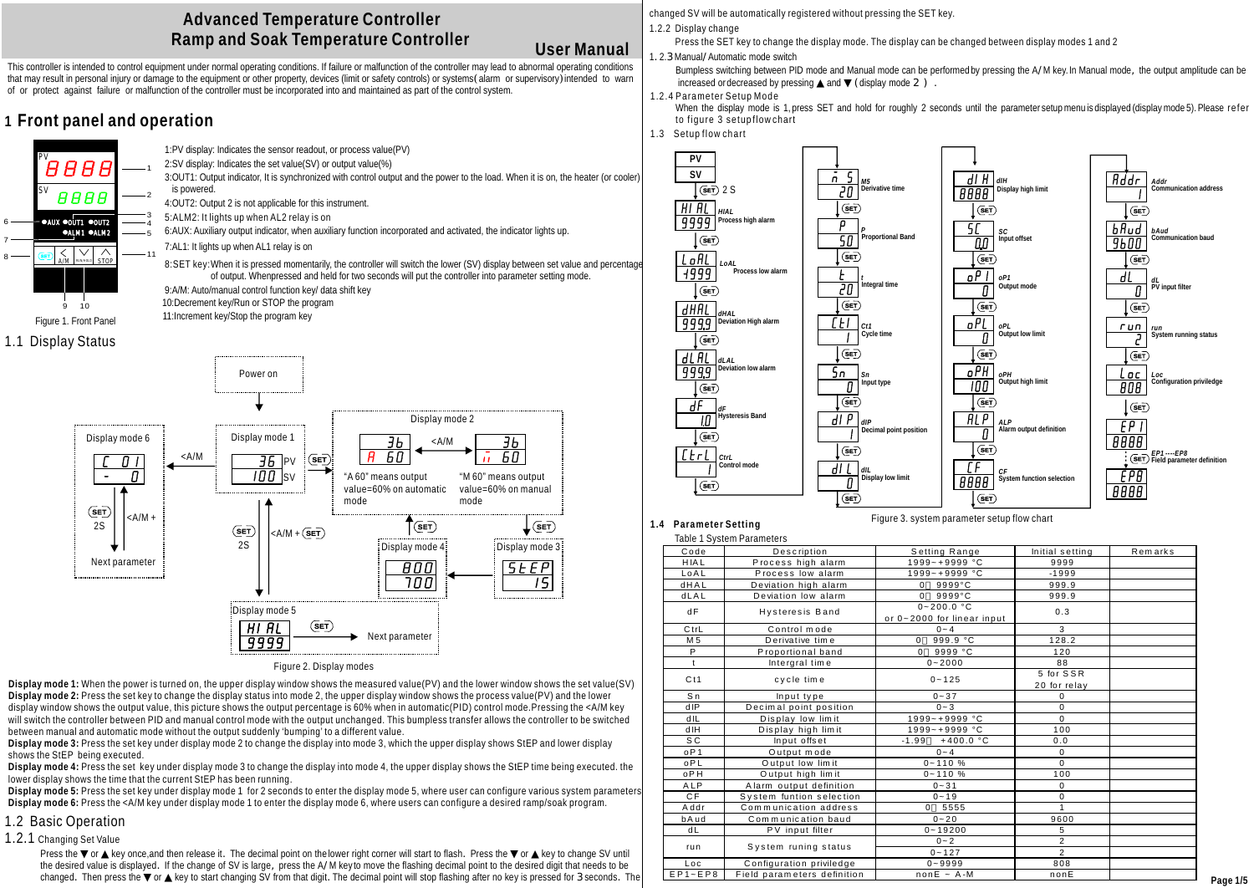# **Advanced Temperature Controller Ramp and Soak Temperature Controller**

# **User Manual**

This controller is intended to control equipment under normal operating conditions. If failure or malfunction of the controller may lead to abnormal operating conditions that may result in personal injury or damage to the equipment or other property, devices (limit or safety controls) or systems(alarm or supervisory)intended to warn of or protect against failure or malfunction of the controller must be incorporated into and maintained as part of the control system.

# **1 Front panel and operation**

3 4 5



6 7 8

1:PV display: Indicates the sensor readout, or process value(PV) 2:SV display: Indicates the set value(SV) or output value(%)

3:OUT1: Output indicator, It is synchronized with control output and the power to the load. When it is on, the heater (or cooler) is powered. 1 2

4:OUT2: Output 2 is not applicable for this instrument.

5:ALM2: It lights up when AL2 relay is on

6:AUX: Auxiliary output indicator, when auxiliary function incorporated and activated, the indicator lights up.

7:AL1: It lights up when AL1 relay is on

8:SET key:When it is pressed momentarily, the controller will switch the lower (SV) display between set value and percentage of output. Whenpressed and held for two seconds will put the controller into parameter setting mode.

9:A/M: Auto/manual control function key/ data shift key 10:Decrement key/Run or STOP the program

11:Increment key/Stop the program key





Figure 2. Display modes

**Display mode 1:** When the power is turned on, the upper display window shows the measured value(PV) and the lower window shows the set value(SV) **Display mode 2:** Press the set key to change the display status into mode 2, the upper display window shows the process value(PV) and the lower display window shows the output value, this picture shows the output percentage is 60% when in automatic(PID) control mode. Pressing the <A/M key will switch the controller between PID and manual control mode with the output unchanged. This bumpless transfer allows the controller to be switched between manual and automatic mode without the output suddenly 'bumping' to a different value.

**Display mode 3:** Press the set key under display mode 2 to change the display into mode 3, which the upper display shows StEP and lower display shows the StEP being executed.

**Display mode 4:** Press the set key under display mode 3 to change the display into mode 4, the upper display shows the StEP time being executed. the lower display shows the time that the current StEP has been running.

**Display mode 5:** Press the set key under display mode 1 for 2 seconds to enter the display mode 5, where user can configure various system parameters **Display mode 6:** Press the <A/M key under display mode 1 to enter the display mode 6, where users can configure a desired ramp/soak program.

# 1.2 Basic Operation

1.2.1 Changing Set Value

Press the or key once,and then release it. The decimal point on the lower right corner will start to flash. Press the or key to change SV until the desired value is displayed. If the change of SV is large, press the A/M key to move the flashing decimal point to the desired digit that needs to be changed. Then press the or key to start changing SV from that digit. The decimal point will stop flashing after no key is pressed for 3 seconds. The

changed SV will be automatically registered without pressing the SET key.

1.2.2 Display change

Press the SET key to change the display mode. The display can be changed between display modes 1 and 2

1.2.3 Manual/Automatic mode switch

Bumpless switching between PID mode and Manual mode can be performed by pressing the A/M key. In Manual mode, the output amplitude can be  $increased$  or decreased by pressing and  $(\text{display mode 2})$ .

# 1.2.4 Parameter Setup Mode

When the display mode is 1, press SET and hold for roughly 2 seconds until the parameter setup menu is displayed (display mode 5). Please refer to figure 3 setup flow chart

1.3 Setup flow chart



**1.4 Parameter Setting**

Table 1 System Parameters

Figure 3. system parameter setup flow chart

|                 | Table T System Parameters   |                                              |                           |         |
|-----------------|-----------------------------|----------------------------------------------|---------------------------|---------|
| Code            | Description                 | Setting Range                                | Initial setting           | Remarks |
| <b>HIAL</b>     | Process high alarm          | 1999~+9999 °C                                | 9999                      |         |
| LoAL            | Process low alarm           | $1999 - +9999$ °C                            | $-1999$                   |         |
| <b>dHAL</b>     | Deviation high alarm        | $0.9999^{\circ}C$                            | 999.9                     |         |
| dLAL            | Deviation low alarm         | $0.9999^{\circ}C$                            | 999.9                     |         |
| dF              | <b>Hysteresis Band</b>      | $0 - 200.0$ °C<br>or 0~2000 for linear input | 0.3                       |         |
| CtrL            | Control mode                | $0 - 4$                                      | 3                         |         |
| M 5             | Derivative time             | 999.9 °C<br>$\Omega$                         | 128.2                     |         |
| P               | Proportional band           | 9999 °C<br>$\Omega$                          | 120                       |         |
| $\mathsf{t}$    | Intergral time              | $0 - 2000$                                   | 88                        |         |
| Ct1             | cycle time                  | $0 - 125$                                    | 5 for SSR<br>20 for relay |         |
| S <sub>n</sub>  | Input type                  | $0 - 37$                                     | $\Omega$                  |         |
| dIP             | Decimal point position      | $0 - 3$                                      | $\mathbf 0$               |         |
| dIL             | Display low limit           | $1999 - + 9999$ °C                           | $\Omega$                  |         |
| dIH             | Display high limit          | 1999~+9999 °C                                | 100                       |         |
| S C             | Input offset                | $+400.0 °C$<br>$-1.99$                       | 0.0                       |         |
| oP <sub>1</sub> | Output mode                 | $0 - 4$                                      | 0                         |         |
| oPL             | Output low limit            | $0 - 110 %$                                  | $\Omega$                  |         |
| oPH             | Output high limit           | $0 - 110%$                                   | 100                       |         |
| ALP             | Alarm output definition     | $0 - 31$                                     | 0                         |         |
| C.F             | System funtion selection    | $0 - 19$                                     | $\Omega$                  |         |
| Addr            | Communication address       | 0, 5555                                      | $\overline{1}$            |         |
| bAud            | Communication baud          | $0 - 20$                                     | 9600                      |         |
| dL              | PV input filter             | $0 - 19200$                                  | 5                         |         |
|                 |                             | $0 - 2$                                      | $\overline{2}$            |         |
| run             | System runing status        | $0 - 127$                                    | $\overline{2}$            |         |
| Loc             | Configuration priviledge    | $0 - 9999$                                   | 808                       |         |
| $EP1 - EP8$     | Field parameters definition | $nonE ~ ~ A$ -M                              | nonE                      |         |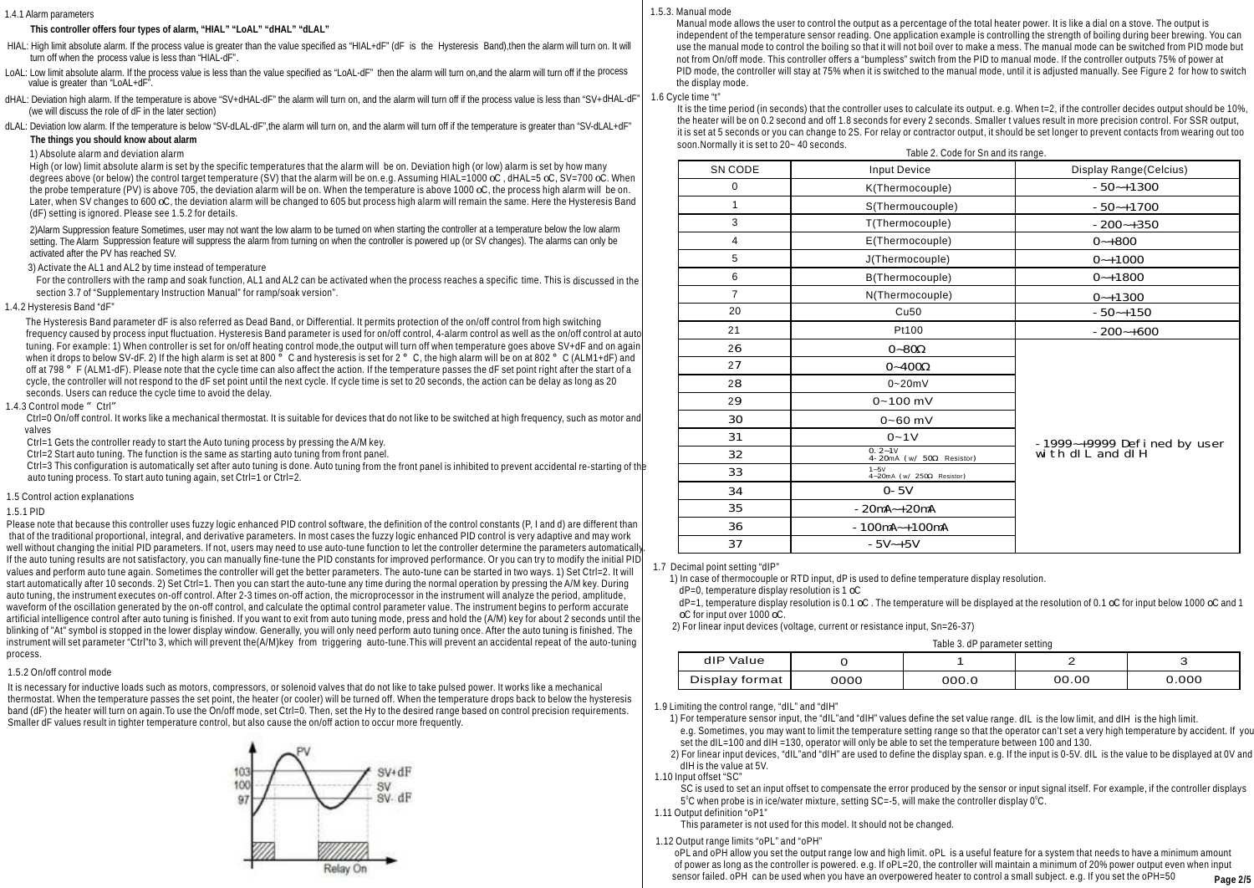### 1.4.1 Alarm parameters

 **This controller offers four types of alarm, "HIAL" "LoAL" "dHAL" "dLAL"**

- HIAL: High limit absolute alarm. If the process value is greater than the value specified as "HIAL+dF" (dF is the Hysteresis Band),then the alarm will turn on. It will turn off when the process value is less than "HIAL-dF".
- LoAL: Low limit absolute alarm. If the process value is less than the value specified as "LoAL-dF" then the alarm will turn on, and the alarm will turn off if the process value is greater than "LoAL+dF".
- dHAL: Deviation high alarm. If the temperature is above "SV+dHAL-dF" the alarm will turn on, and the alarm will turn off if the process value is less than "SV+dHAL-dF (we will discuss the role of dF in the later section)
- dLAL: Deviation low alarm. If the temperature is below "SV-dLAL-dF", the alarm will turn on, and the alarm will turn off if the temperature is greater than "SV-dLAL+dF"  **The things you should know about alarm**

### 1) Absolute alarm and deviation alarm

High (or low) limit absolute alarm is set by the specific temperatures that the alarm will be on. Deviation high (or low) alarm is set by how many degrees above (or below) the control target temperature (SV) that the alarm will be on.e.g. Assuming HIAL=1000  $\alpha$ , dHAL=5  $\alpha$ , SV=700  $\alpha$ , When the probe temperature (PV) is above 705, the deviation alarm will be on. When the temperature is above 1000 oC, the process high alarm will be on. Later, when SV changes to 600 oC, the deviation alarm will be changed to 605 but process high alarm will remain the same. Here the Hysteresis Band (dF) setting is ignored. Please see 1.5.2 for details.

 2)Alarm Suppression feature Sometimes, user may not want the low alarm to be turned on when starting the controller at a temperature below the low alarm setting. The Alarm Suppression feature will suppress the alarm from turning on when the controller is powered up (or SV changes). The alarms can only be activated after the PV has reached SV.

### 3) Activate the AL1 and AL2 by time instead of temperature

For the controllers with the ramp and soak function, AL1 and AL2 can be activated when the process reaches a specific time. This is discussed in the section 3.7 of "Supplementary Instruction Manual" for ramp/soak version".

### 1.4.2 Hysteresis Band "dF"

 The Hysteresis Band parameter dF is also referred as Dead Band, or Differential. It permits protection of the on/off control from high switching frequency caused by process input fluctuation. Hysteresis Band parameter is used for on/off control, 4-alarm control as well as the on/off control at auto tuning. For example: 1) When controller is set for on/off heating control mode,the output will turn off when temperature goes above SV+dF and on again when it drops to below SV-dF. 2) If the high alarm is set at 800  $\degree$  C and hysteresis is set for 2  $\degree$  C, the high alarm will be on at 802  $\degree$  C (ALM1+dF) and off at 798  $^{\circ}$  F (ALM1-dF). Please note that the cycle time can also affect the action. If the temperature passes the dF set point right after the start of a cycle, the controller will not respond to the dF set point until the next cycle. If cycle time is set to 20 seconds, the action can be delay as long as 20 seconds. Users can reduce the cycle time to avoid the delay.

### 1.4.3 Control mode "Ctrl"

Ctrl=0 On/off control. It works like a mechanical thermostat. It is suitable for devices that do not like to be switched at high frequency, such as motor and valves

Ctrl=1 Gets the controller ready to start the Auto tuning process by pressing the A/M key.

Ctrl=2 Start auto tuning. The function is the same as starting auto tuning from front panel.

 Ctrl=3 This configuration is automatically set after auto tuning is done. Auto tuning from the front panel is inhibited to prevent accidental re-starting of the auto tuning process. To start auto tuning again, set Ctrl=1 or Ctrl=2.

### 1.5 Control action explanations

## 1.5.1 PID

Please note that because this controller uses fuzzy logic enhanced PID control software, the definition of the control constants (P, I and d) are different than that of the traditional proportional, integral, and derivative parameters. In most cases the fuzzy logic enhanced PID control is very adaptive and may work well without changing the initial PID parameters. If not, users may need to use auto-tune function to let the controller determine the parameters automatically If the auto tuning results are not satisfactory, you can manually fine-tune the PID constants for improved performance. Or you can try to modify the initial PID values and perform auto tune again. Sometimes the controller will get the better parameters. The auto-tune can be started in two ways. 1) Set Ctrl=2. It will start automatically after 10 seconds. 2) Set Ctrl=1. Then you can start the auto-tune any time during the normal operation by pressing the A/M key. During auto tuning, the instrument executes on-off control. After 2-3 times on-off action, the microprocessor in the instrument will analyze the period, amplitude, waveform of the oscillation generated by the on-off control, and calculate the optimal control parameter value. The instrument begins to perform accurate artificial intelligence control after auto tuning is finished. If you want to exit from auto tuning mode, press and hold the (A/M) key for about 2 seconds until the blinking of "At" symbol is stopped in the lower display window. Generally, you will only need perform auto tuning once. After the auto tuning is finished. The instrument will set parameter "Ctrl"to 3, which will prevent the(A/M)key from triggering auto-tune.This will prevent an accidental repeat of the auto-tuning process.

# 1.5.2 On/off control mode

It is necessary for inductive loads such as motors, compressors, or solenoid valves that do not like to take pulsed power. It works like a mechanical thermostat. When the temperature passes the set point, the heater (or cooler) will be turned off. When the temperature drops back to below the hysteresis band (dF) the heater will turn on again. To use the On/off mode, set Ctrl=0. Then, set the Hy to the desired range based on control precision requirements. Smaller dF values result in tighter temperature control, but also cause the on/off action to occur more frequently.



### 1.5.3. Manual mode

 Manual mode allows the user to control the output as a percentage of the total heater power. It is like a dial on a stove. The output is independent of the temperature sensor reading. One application example is controlling the strength of boiling during beer brewing. You can use the manual mode to control the boiling so that it will not boil over to make a mess. The manual mode can be switched from PID mode but not from On/off mode. This controller offers a "bumpless" switch from the PID to manual mode. If the controller outputs 75% of power at PID mode, the controller will stay at 75% when it is switched to the manual mode, until it is adjusted manually. See Figure 2 for how to switch the display mode.

#### 1.6 Cycle time "t"

 It is the time period (in seconds) that the controller uses to calculate its output. e.g. When t=2, if the controller decides output should be 10%, the heater will be on 0.2 second and off 1.8 seconds for every 2 seconds. Smaller t values result in more precision control. For SSR output, it is set at 5 seconds or you can change to 2S. For relay or contractor output, it should be set longer to prevent contacts from wearing out too soon.Normally it is set to 20~ 40 seconds. Table 2. Code for Sn and its range.

|                | TABLE 2. COUP TO SHE AND RELEASE AND     |                             |
|----------------|------------------------------------------|-----------------------------|
| SN CODE        | <b>Input Device</b>                      | Display Range(Celcius)      |
| $\mathbf 0$    | K(Thermocouple)                          | $-50 - +1300$               |
| 1              | S(Thermoucouple)                         | $-50 - +1700$               |
| 3              | T(Thermocouple)                          | $-200-+350$                 |
| 4              | E(Thermocouple)                          | $O - + 800$                 |
| 5              | J(Thermocouple)                          | $0 - +1000$                 |
| 6              | B(Thermocouple)                          | $0 - +1800$                 |
| $\overline{7}$ | N(Thermocouple)                          | $0 - +1300$                 |
| 20             | Cu50                                     | $-50 - +150$                |
| 21             | Pt100                                    | $-200-+600$                 |
| 26             | $O - 8O$                                 |                             |
| 27             | $O - 400$                                |                             |
| 28             | $0 - 20mV$                               |                             |
| 29             | $0 - 100$ mV                             |                             |
| 30             | $0 - 60$ mV                              |                             |
| 31             | $0 - 1V$                                 | -1999~+9999 Defined by user |
| 32             | $0.2 - 1V$<br>4-20mA (w/ 50<br>Resistor) | $wt$ th dl L and dl H       |
| 33             | $1 - 5V$<br>4~20mA (w/ 250 Resistor)     |                             |
| 34             | $O - 5V$                                 |                             |
| 35             | $-20mA - +20mA$                          |                             |
| 36             | $-100mA - +100mA$                        |                             |
| 37             | $-5V - +5V$                              |                             |

### 1.7 Decimal point setting "dIP"

1) In case of thermocouple or RTD input, dP is used to define temperature display resolution.

 $dP=0$ , temperature display resolution is 1  $\mathrm{OC}$ 

 $dP=1$ , temperature display resolution is 0.1 oC. The temperature will be displayed at the resolution of 0.1 oC for input below 1000 oC and 1 oC for input over 1000 oC.

2) For linear input devices (voltage, current or resistance input, Sn=26-37)

| Table 3. dP parameter setting |
|-------------------------------|
|                               |

| dIP Value      |      |       |       |      |
|----------------|------|-------|-------|------|
| Display format | 0000 | 000.0 | 00.00 | 000. |

1.9 Limiting the control range, "dIL" and "dIH"

1) For temperature sensor input, the "dIL"and "dIH" values define the set value range. dIL is the low limit, and dIH is the high limit.

 e.g. Sometimes, you may want to limit the temperature setting range so that the operator can't set a very high temperature by accident. If you set the dIL=100 and dIH =130, operator will only be able to set the temperature between 100 and 130.

 2) For linear input devices, "dIL"and "dIH" are used to define the display span. e.g. If the input is 0-5V. dIL is the value to be displayed at 0V and dIH is the value at 5V.

1.10 Input offset "SC"

 SC is used to set an input offset to compensate the error produced by the sensor or input signal itself. For example, if the controller displays  $5^{\circ}$ C when probe is in ice/water mixture, setting SC=-5, will make the controller display 0 $^{\circ}$ C.

1.11 Output definition "oP1"

 This parameter is not used for this model. It should not be changed. 1.12 Output range limits "oPL" and "oPH"

 oPL and oPH allow you set the output range low and high limit. oPL is a useful feature for a system that needs to have a minimum amount of power as long as the controller is powered. e.g. If oPL=20, the controller will maintain a minimum of 20% power output even when input sensor failed.  $\overline{O}$  of H can be used when you have an overpowered heater to control a small subject. e.g. If you set the  $\overline{O}$ PH=50 **Page 2/5**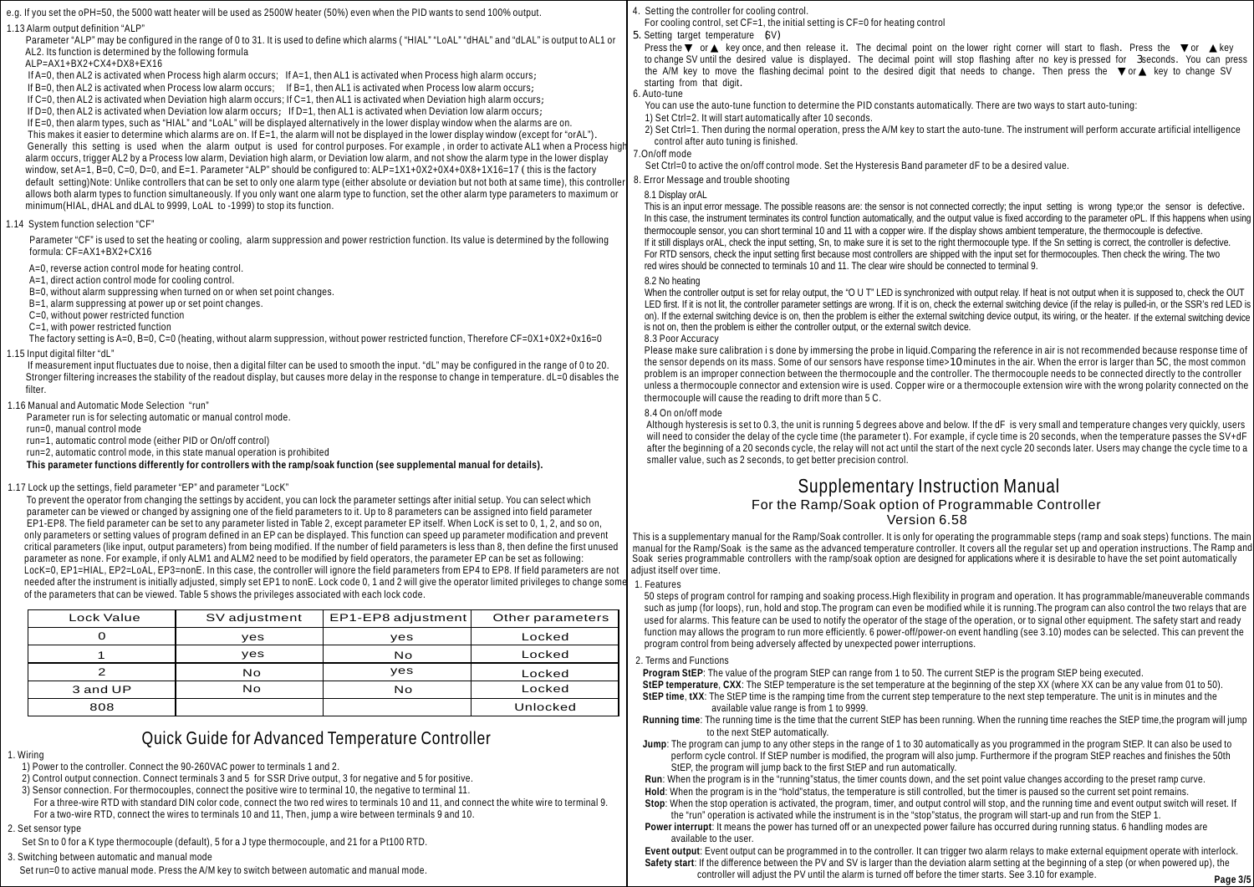|                                                                                                                                                                                                                                                                |               |                                                                                                                                                      |                                                                                                                                                            | 4. Setting the controller for cooling control.                                                                                                                                                                                                                                                                                                              |  |  |
|----------------------------------------------------------------------------------------------------------------------------------------------------------------------------------------------------------------------------------------------------------------|---------------|------------------------------------------------------------------------------------------------------------------------------------------------------|------------------------------------------------------------------------------------------------------------------------------------------------------------|-------------------------------------------------------------------------------------------------------------------------------------------------------------------------------------------------------------------------------------------------------------------------------------------------------------------------------------------------------------|--|--|
| e.g. If you set the oPH=50, the 5000 watt heater will be used as 2500W heater (50%) even when the PID wants to send 100% output<br>"ALP" ו13 Alarm output definition.                                                                                          |               |                                                                                                                                                      |                                                                                                                                                            | For cooling control, set $CF = 1$ , the initial setting is $CF = 0$ for heating control                                                                                                                                                                                                                                                                     |  |  |
| Parameter "ALP" may be configured in the range of 0 to 31. It is used to define which alarms ("HIAL" "LOAL" "dHAL" and "dLAL" is output to AL1 or                                                                                                              |               |                                                                                                                                                      |                                                                                                                                                            | 5. Setting target temperature 6V)<br>Press the or key once, and then release it. The decimal point on the lower right corner will start to flash. Press the<br>key<br>to change SV until the desired value is displayed. The decimal point will stop flashing after no key is pressed for 3seconds. You can press                                           |  |  |
| AL2. Its function is determined by the following formula                                                                                                                                                                                                       |               |                                                                                                                                                      |                                                                                                                                                            |                                                                                                                                                                                                                                                                                                                                                             |  |  |
| ALP=AX1+BX2+CX4+DX8+EX16<br>If A=0, then AL2 is activated when Process high alarm occurs; If A=1, then AL1 is activated when Process high alarm occurs;                                                                                                        |               |                                                                                                                                                      |                                                                                                                                                            | the A/M key to move the flashing decimal point to the desired digit that needs to change. Then press the<br>key to change SV<br>or                                                                                                                                                                                                                          |  |  |
| If $B=0$ , then AL2 is activated when Process low alarm occurs; If $B=1$ , then AL1 is activated when Process low alarm occurs;                                                                                                                                |               |                                                                                                                                                      |                                                                                                                                                            | starting from that digit.                                                                                                                                                                                                                                                                                                                                   |  |  |
|                                                                                                                                                                                                                                                                |               | If $C=0$ , then AL2 is activated when Deviation high alarm occurs; If $C=1$ , then AL1 is activated when Deviation high alarm occurs;                |                                                                                                                                                            | 6. Auto-tune                                                                                                                                                                                                                                                                                                                                                |  |  |
|                                                                                                                                                                                                                                                                |               | If D=0, then AL2 is activated when Deviation low alarm occurs; If D=1, then AL1 is activated when Deviation low alarm occurs;                        |                                                                                                                                                            | You can use the auto-tune function to determine the PID constants automatically. There are two ways to start auto-tuning:<br>1) Set Ctrl=2. It will start automatically after 10 seconds.                                                                                                                                                                   |  |  |
|                                                                                                                                                                                                                                                                |               | If E=0, then alarm types, such as "HIAL" and "LoAL" will be displayed alternatively in the lower display window when the alarms are on.              |                                                                                                                                                            | 2) Set Ctrl=1. Then during the normal operation, press the A/M key to start the auto-tune. The instrument will perform accurate artificial intelligence                                                                                                                                                                                                     |  |  |
|                                                                                                                                                                                                                                                                |               | This makes it easier to determine which alarms are on. If $E=1$ , the alarm will not be displayed in the lower display window (except for "orAL").   |                                                                                                                                                            | control after auto tuning is finished.                                                                                                                                                                                                                                                                                                                      |  |  |
| alarm occurs, trigger AL2 by a Process low alarm, Deviation high alarm, or Deviation low alarm, and not show the alarm type in the lower display                                                                                                               |               |                                                                                                                                                      | Generally this setting is used when the alarm output is used for control purposes. For example, in order to activate AL1 when a Process high               | 7.On/off mode                                                                                                                                                                                                                                                                                                                                               |  |  |
| window, set A=1, B=0, C=0, D=0, and E=1. Parameter "ALP" should be configured to: ALP=1X1+0X2+0X4+0X8+1X16=17 (this is the factory                                                                                                                             |               |                                                                                                                                                      |                                                                                                                                                            | Set Ctrl=0 to active the on/off control mode. Set the Hysteresis Band parameter dF to be a desired value.                                                                                                                                                                                                                                                   |  |  |
| default setting) Note: Unlike controllers that can be set to only one alarm type (either absolute or deviation but not both at same time), this controller                                                                                                     |               |                                                                                                                                                      |                                                                                                                                                            | 8. Error Message and trouble shooting                                                                                                                                                                                                                                                                                                                       |  |  |
| allows both alarm types to function simultaneously. If you only want one alarm type to function, set the other alarm type parameters to maximum or                                                                                                             |               |                                                                                                                                                      |                                                                                                                                                            | 8.1 Display orAL                                                                                                                                                                                                                                                                                                                                            |  |  |
| minimum (HIAL, dHAL and dLAL to 9999, LoAL to -1999) to stop its function.                                                                                                                                                                                     |               |                                                                                                                                                      |                                                                                                                                                            | This is an input error message. The possible reasons are: the sensor is not connected correctly; the input setting is wrong type; or the sensor is defective.                                                                                                                                                                                               |  |  |
| .14 System function selection "CF"                                                                                                                                                                                                                             |               |                                                                                                                                                      |                                                                                                                                                            | In this case, the instrument terminates its control function automatically, and the output value is fixed according to the parameter oPL. If this happens when using                                                                                                                                                                                        |  |  |
|                                                                                                                                                                                                                                                                |               | Parameter "CF" is used to set the heating or cooling, alarm suppression and power restriction function. Its value is determined by the following     |                                                                                                                                                            | thermocouple sensor, you can short terminal 10 and 11 with a copper wire. If the display shows ambient temperature, the thermocouple is defective.<br>If it still displays orAL, check the input setting, Sn, to make sure it is set to the right thermocouple type. If the Sn setting is correct, the controller is defective.                             |  |  |
| formula: CF=AX1+BX2+CX16                                                                                                                                                                                                                                       |               |                                                                                                                                                      |                                                                                                                                                            | For RTD sensors, check the input setting first because most controllers are shipped with the input set for thermocouples. Then check the wiring. The two                                                                                                                                                                                                    |  |  |
| A=0, reverse action control mode for heating control.                                                                                                                                                                                                          |               |                                                                                                                                                      |                                                                                                                                                            | red wires should be connected to terminals 10 and 11. The clear wire should be connected to terminal 9.                                                                                                                                                                                                                                                     |  |  |
| A=1, direct action control mode for cooling control.                                                                                                                                                                                                           |               |                                                                                                                                                      |                                                                                                                                                            | 8.2 No heating                                                                                                                                                                                                                                                                                                                                              |  |  |
| B=0, without alarm suppressing when turned on or when set point changes.                                                                                                                                                                                       |               |                                                                                                                                                      |                                                                                                                                                            | When the controller output is set for relay output, the "O U T" LED is synchronized with output relay. If heat is not output when it is supposed to, check the OUT                                                                                                                                                                                          |  |  |
| B=1, alarm suppressing at power up or set point changes.<br>C=0, without power restricted function                                                                                                                                                             |               |                                                                                                                                                      |                                                                                                                                                            | LED first. If it is not lit, the controller parameter settings are wrong. If it is on, check the external switching device (if the relay is pulled-in, or the SSR's red LED is<br>on). If the external switching device is on, then the problem is either the external switching device output, its wiring, or the heater. If the external switching device |  |  |
| C=1, with power restricted function                                                                                                                                                                                                                            |               |                                                                                                                                                      |                                                                                                                                                            | is not on, then the problem is either the controller output, or the external switch device.                                                                                                                                                                                                                                                                 |  |  |
|                                                                                                                                                                                                                                                                |               | The factory setting is A=0, B=0, C=0 (heating, without alarm suppression, without power restricted function, Therefore CF=0X1+0X2+0x16=0             |                                                                                                                                                            | 8.3 Poor Accuracy                                                                                                                                                                                                                                                                                                                                           |  |  |
| 15 Input digital filter "dL"                                                                                                                                                                                                                                   |               |                                                                                                                                                      |                                                                                                                                                            | Please make sure calibration is done by immersing the probe in liquid. Comparing the reference in air is not recommended because response time of                                                                                                                                                                                                           |  |  |
|                                                                                                                                                                                                                                                                |               | If measurement input fluctuates due to noise, then a digital filter can be used to smooth the input. "dL" may be configured in the range of 0 to 20. |                                                                                                                                                            | the sensor depends on its mass. Some of our sensors have response time>10minutes in the air. When the error is larger than 5C, the most common                                                                                                                                                                                                              |  |  |
| Stronger filtering increases the stability of the readout display, but causes more delay in the response to change in temperature. dL=0 disables the                                                                                                           |               |                                                                                                                                                      |                                                                                                                                                            | problem is an improper connection between the thermocouple and the controller. The thermocouple needs to be connected directly to the controller<br>unless a thermocouple connector and extension wire is used. Copper wire or a thermocouple extension wire with the wrong polarity connected on the                                                       |  |  |
| filter.                                                                                                                                                                                                                                                        |               |                                                                                                                                                      |                                                                                                                                                            | thermocouple will cause the reading to drift more than 5 C.                                                                                                                                                                                                                                                                                                 |  |  |
| 16 Manual and Automatic Mode Selection "run"                                                                                                                                                                                                                   |               |                                                                                                                                                      |                                                                                                                                                            | 8.4 On on/off mode                                                                                                                                                                                                                                                                                                                                          |  |  |
| Parameter run is for selecting automatic or manual control mode.<br>run=0, manual control mode                                                                                                                                                                 |               |                                                                                                                                                      |                                                                                                                                                            | Although hysteresis is set to 0.3, the unit is running 5 degrees above and below. If the dF is very small and temperature changes very quickly, users                                                                                                                                                                                                       |  |  |
| run=1, automatic control mode (either PID or On/off control)                                                                                                                                                                                                   |               |                                                                                                                                                      |                                                                                                                                                            | will need to consider the delay of the cycle time (the parameter t). For example, if cycle time is 20 seconds, when the temperature passes the SV+dF                                                                                                                                                                                                        |  |  |
| run=2, automatic control mode, in this state manual operation is prohibited                                                                                                                                                                                    |               |                                                                                                                                                      | after the beginning of a 20 seconds cycle, the relay will not act until the start of the next cycle 20 seconds later. Users may change the cycle time to a |                                                                                                                                                                                                                                                                                                                                                             |  |  |
| This parameter functions differently for controllers with the ramp/soak function (see supplemental manual for details).                                                                                                                                        |               |                                                                                                                                                      |                                                                                                                                                            | smaller value, such as 2 seconds, to get better precision control.                                                                                                                                                                                                                                                                                          |  |  |
| "17 Lock up the settings, field parameter "EP" and parameter "LocK".                                                                                                                                                                                           |               |                                                                                                                                                      |                                                                                                                                                            | <b>Supplementary Instruction Manual</b>                                                                                                                                                                                                                                                                                                                     |  |  |
|                                                                                                                                                                                                                                                                |               | To prevent the operator from changing the settings by accident, you can lock the parameter settings after initial setup. You can select which        |                                                                                                                                                            | For the Ramp/Soak option of Programmable Controller                                                                                                                                                                                                                                                                                                         |  |  |
| EP1-EP8. The field parameter can be set to any parameter listed in Table 2, except parameter EP itself. When LocK is set to 0, 1, 2, and so on,                                                                                                                |               | parameter can be viewed or changed by assigning one of the field parameters to it. Up to 8 parameters can be assigned into field parameter           |                                                                                                                                                            | Version 6.58                                                                                                                                                                                                                                                                                                                                                |  |  |
| only parameters or setting values of program defined in an EP can be displayed. This function can speed up parameter modification and prevent                                                                                                                  |               |                                                                                                                                                      |                                                                                                                                                            | This is a supplementary manual for the Ramp/Soak controller. It is only for operating the programmable steps (ramp and soak steps) functions. The main                                                                                                                                                                                                      |  |  |
| critical parameters (like input, output parameters) from being modified. If the number of field parameters is less than 8, then define the first unused                                                                                                        |               |                                                                                                                                                      |                                                                                                                                                            | manual for the Ramp/Soak is the same as the advanced temperature controller. It covers all the regular set up and operation instructions. The Ramp and                                                                                                                                                                                                      |  |  |
| parameter as none. For example, if only ALM1 and ALM2 need to be modified by field operators, the parameter EP can be set as following:                                                                                                                        |               |                                                                                                                                                      |                                                                                                                                                            | Soak series programmable controllers with the ramp/soak option are designed for applications where it is desirable to have the set point automatically                                                                                                                                                                                                      |  |  |
| LocK=0, EP1=HIAL, EP2=LoAL, EP3=nonE. In this case, the controller will ignore the field parameters from EP4 to EP8. If field parameters are not                                                                                                               |               |                                                                                                                                                      |                                                                                                                                                            | adjust itself over time.                                                                                                                                                                                                                                                                                                                                    |  |  |
| needed after the instrument is initially adjusted, simply set EP1 to nonE. Lock code 0, 1 and 2 will give the operator limited privileges to change some<br>of the parameters that can be viewed. Table 5 shows the privileges associated with each lock code. |               |                                                                                                                                                      |                                                                                                                                                            | 1. Features                                                                                                                                                                                                                                                                                                                                                 |  |  |
|                                                                                                                                                                                                                                                                |               |                                                                                                                                                      |                                                                                                                                                            | 50 steps of program control for ramping and soaking process. High flexibility in program and operation. It has programmable/maneuverable commands<br>such as jump (for loops), run, hold and stop. The program can even be modified while it is running. The program can also control the two relays that are                                               |  |  |
| Lock Value                                                                                                                                                                                                                                                     | SV adjustment | EP1-EP8 adjustment                                                                                                                                   | Other parameters                                                                                                                                           | used for alarms. This feature can be used to notify the operator of the stage of the operation, or to signal other equipment. The safety start and ready                                                                                                                                                                                                    |  |  |
| $\Omega$                                                                                                                                                                                                                                                       | yes           | yes                                                                                                                                                  | Locked                                                                                                                                                     | function may allows the program to run more efficiently, 6 power-off/power-on event handling (see 3.10) modes can be selected. This can prevent the                                                                                                                                                                                                         |  |  |
| $\mathbf{1}$                                                                                                                                                                                                                                                   | yes           | No                                                                                                                                                   | Locked                                                                                                                                                     | program control from being adversely affected by unexpected power interruptions.<br>2. Terms and Functions                                                                                                                                                                                                                                                  |  |  |
| $\overline{2}$                                                                                                                                                                                                                                                 | No            | yes                                                                                                                                                  | Locked                                                                                                                                                     | Program StEP: The value of the program StEP can range from 1 to 50. The current StEP is the program StEP being executed.                                                                                                                                                                                                                                    |  |  |
| 3 and UP                                                                                                                                                                                                                                                       | No            | <b>No</b>                                                                                                                                            | Locked                                                                                                                                                     | StEP temperature, CXX: The StEP temperature is the set temperature at the beginning of the step XX (where XX can be any value from 01 to 50).<br>StEP time, tXX: The StEP time is the ramping time from the current step temperature to the next step temperature. The unit is in minutes and the                                                           |  |  |
| 808                                                                                                                                                                                                                                                            |               |                                                                                                                                                      | Unlocked                                                                                                                                                   | available value range is from 1 to 9999.                                                                                                                                                                                                                                                                                                                    |  |  |
|                                                                                                                                                                                                                                                                |               |                                                                                                                                                      |                                                                                                                                                            | Running time: The running time is the time that the current StEP has been running. When the running time reaches the StEP time, the program will jump                                                                                                                                                                                                       |  |  |

# Quick Guide for Advanced Temperature Controller

1. Wiring

1) Power to the controller. Connect the 90-260VAC power to terminals 1 and 2.

2) Control output connection. Connect terminals 3 and 5 for SSR Drive output, 3 for negative and 5 for positive.

3) Sensor connection. For thermocouples, connect the positive wire to terminal 10, the negative to terminal 11.

 For a three-wire RTD with standard DIN color code, connect the two red wires to terminals 10 and 11, and connect the white wire to terminal 9. For a two-wire RTD, connect the wires to terminals 10 and 11, Then, jump a wire between terminals 9 and 10.

2. Set sensor type

Set Sn to 0 for a K type thermocouple (default), 5 for a J type thermocouple, and 21 for a Pt100 RTD.

3. Switching between automatic and manual mode

Set run=0 to active manual mode. Press the A/M key to switch between automatic and manual mode.

 **Running time**: The running time is the time that the current StEP has been running. When the running time reaches the StEP time,the program will jump to the next StEP automatically.

 **Jump**: The program can jump to any other steps in the range of 1 to 30 automatically as you programmed in the program StEP. It can also be used to perform cycle control. If StEP number is modified, the program will also jump. Furthermore if the program StEP reaches and finishes the 50th StEP, the program will jump back to the first StEP and run automatically.

 **Run**: When the program is in the "running"status, the timer counts down, and the set point value changes according to the preset ramp curve. **Hold**: When the program is in the "hold"status, the temperature is still controlled, but the timer is paused so the current set point remains.

 **Stop**: When the stop operation is activated, the program, timer, and output control will stop, and the running time and event output switch will reset. If the "run" operation is activated while the instrument is in the "stop"status, the program will start-up and run from the StEP 1.

 **Power interrupt**: It means the power has turned off or an unexpected power failure has occurred during running status. 6 handling modes are available to the user.

 **Event output**: Event output can be programmed in to the controller. It can trigger two alarm relays to make external equipment operate with interlock. **Safety start**: If the difference between the PV and SV is larger than the deviation alarm setting at the beginning of a step (or when powered up), the controller will adjust the PV until the alarm is turned off before the timer starts. See 3.10 for example.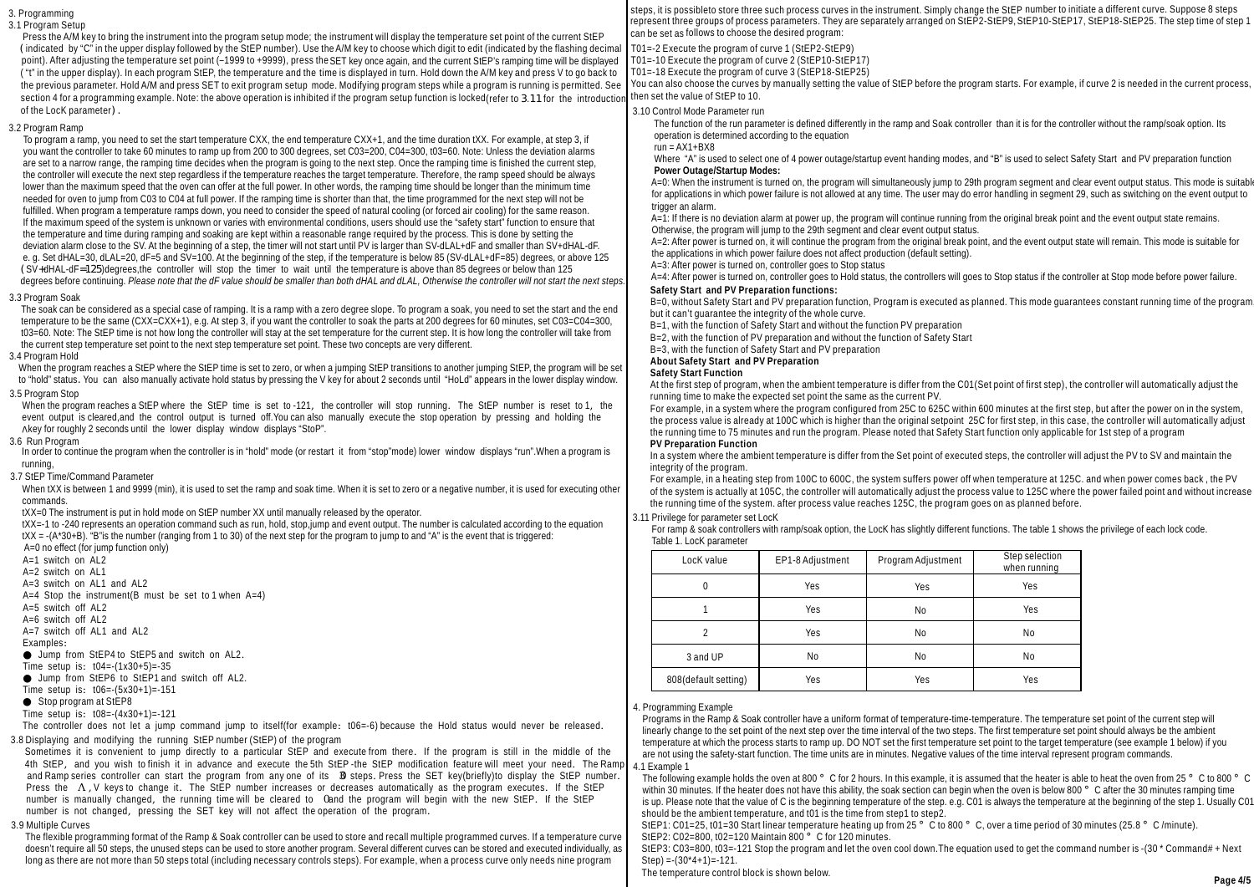### 3. Programming 3.1 Program Setup

Press the A/M key to bring the instrument into the program setup mode; the instrument will display the temperature set point of the current StEP (indicated by "C" in the upper display followed by the StEP number). Use theA/M key to choose which digit to edit (indicated by the flashing decimal point). After adjusting the temperature set point (–1999 to +9999), press theSET key once again, and the current StEP's ramping time will be displayed ( "t" in the upper display). In each program StEP, the temperature and the time is displayed in turn. Hold down the A/M key and press V to go back to the previous parameter. Hold A/M and press SET to exit program setup mode. Modifying program steps while a program is running is permitted. See section 4 for a programming example. Note: the above operation is inhibited if the program setup function is locked (refer to 3.11 for the introduction of the LocK parameter).

### 3.2 Program Ramp

 To program a ramp, you need to set the start temperature CXX, the end temperature CXX+1, and the time duration tXX. For example, at step 3, if you want the controller to take 60 minutes to ramp up from 200 to 300 degrees, set C03=200, C04=300, t03=60. Note: Unless the deviation alarms are set to a narrow range, the ramping time decides when the program is going to the next step. Once the ramping time is finished the current step, the controller will execute the next step regardless if the temperature reaches the target temperature. Therefore, the ramp speed should be always lower than the maximum speed that the oven can offer at the full power. In other words, the ramping time should be longer than the minimum time needed for oven to jump from C03 to C04 at full power. If the ramping time is shorter than that, the time programmed for the next step will not be fulfilled. When program a temperature ramps down, you need to consider the speed of natural cooling (or forced air cooling) for the same reason. If the maximum speed of the system is unknown or varies with environmental conditions, users should use the "safety start" function to ensure that the temperature and time during ramping and soaking are kept within a reasonable range required by the process. This is done by setting the deviation alarm close to the SV. At the beginning of a step, the timer will not start until PV is larger than SV-dLAL+dF and smaller than SV+dHAL-dF. e. g. Set dHAL=30, dLAL=20, dF=5 and SV=100. At the beginning of the step, if the temperature is below 85 (SV-dLAL+dF=85) degrees, or above 125 (SV+dHAL-dF=125)degrees,the controller will stop the timer to wait until the temperature is above than 85 degrees or below than 125 degrees before continuing. *Please note that the dF value should be smaller than both dHAL and dLAL, Otherwise the controller will not start the next steps.*

### 3.3 Program Soak

 The soak can be considered as a special case of ramping. It is a ramp with a zero degree slope. To program a soak, you need to set the start and the end temperature to be the same (CXX=CXX+1), e.g. At step 3, if you want the controller to soak the parts at 200 degrees for 60 minutes, set C03=C04=300, t03=60. Note: The StEP time is not how long the controller will stay at the set temperature for the current step. It is how long the controller will take from the current step temperature set point to the next step temperature set point. These two concepts are very different.

# 3.4 Program Hold

When the program reaches a StEP where the StEP time is set to zero, or when a jumping StEP transitions to another jumping StEP, the program will be set to "hold" status. You can also manually activate hold status by pressing the V key for about 2 seconds until "HoLd" appears in the lower display window.

## 3.5 Program Stop

 When the program reaches a StEP where the StEP time is set to -121, the controller will stop running. The StEP number is reset to 1, the event output is cleared,and the control output is turned off.You can also manually execute the stop operation by pressing and holding the Akey for roughly 2 seconds until the lower display window displays "StoP".

### 3.6 Run Program

In order to continue the program when the controller is in "hold" mode (or restart it from "stop"mode) lower window displays "run".When a program is running,

### 3.7 StEP Time/Command Parameter

When tXX is between 1 and 9999 (min), it is used to set the ramp and soak time. When it is set to zero or a negative number, it is used for executing other commands.

tXX=0 The instrument is put in hold mode on StEP number XX until manually released by the operator.

 tXX=-1 to -240 represents an operation command such as run, hold, stop,jump and event output. The number is calculated according to the equation tXX = -(A\*30+B). "B"is the number (ranging from 1 to 30) of the next step for the program to jump to and "A" is the event that is triggered: A=0 no effect (for jump function only)

```
A=1 switch on AL2
A=2 switch on AL1
A=3 switch on AL1 and AL2
```

```
A=4 Stop the instrument(B must be set to 1 when A=4)
```
 $A=5$  switch off AL<sub>2</sub>

A=6 switch off AL2

 $A=7$  switch off AL1 and AL2

Examples:

Jump from StEP4 to StEP5 and switch on AL2.

Time setup is: t04=-(1x30+5)=-35

Jump from StEP6 to StEP1 and switch off AL2.

Time setup is: t06=-(5x30+1)=-151

```
Stop program at StEP8
```
Time setup is: t08=-(4x30+1)=-121

The controller does not let a jump command jump to itself(for example: t06=-6) because the Hold status would never be released. 3.8 Displaying and modifying the running StEP number (StEP) of the program

 Sometimes it is convenient to jump directly to a particular StEP and execute from there. If the program is still in the middle of the 4th StEP, and you wish to finish it in advance and execute the 5th StEP -the StEP modification feature will meet your need. The Ramp and Ramp series controller can start the program from any one of its **3** steps. Press the SET key(briefly)to display the StEP number. Press the Λ, V keys to change it. The StEP number increases or decreases automatically as the program executes. If the StEP number is manually changed, the running time will be cleared to Cand the program will begin with the new StEP. If the StEP number is not changed, pressing the SET key will not affect the operation of the program.

### 3.9 Multiple Curves

 The flexible programming format of the Ramp & Soak controller can be used to store and recall multiple programmed curves. If a temperature curve doesn't require all 50 steps, the unused steps can be used to store another program. Several different curves can be stored and executed individually, as long as there are not more than 50 steps total (including necessary controls steps). For example, when a process curve only needs nine program

steps, it is possibleto store three such process curves in the instrument. Simply change the StEP number to initiate a different curve. Suppose 8 steps represent three groups of process parameters. They are separately arranged on StEP2-StEP9,StEP10-StEP17, StEP18-StEP25. The step time of step 1 can be set as follows to choose the desired program:

T01=-2 Execute the program of curve 1 (StEP2-StEP9)

- T01=-10 Execute the program of curve 2 (StEP10-StEP17)
- T01=-18 Execute the program of curve 3 (StEP18-StEP25)

You can also choose the curves by manually setting the value of StEP before the program starts. For example, if curve 2 is needed in the current process then set the value of StEP to 10.

## 3.10 Control Mode Parameter run

 The function of the run parameter is defined differently in the ramp and Soak controller than it is for the controller without the ramp/soak option. Its operation is determined according to the equation

### $run = AX1 + BX8$

Where "A" is used to select one of 4 power outage/startup event handing modes, and "B" is used to select Safety Start and PV preparation function **Power Outage/Startup Modes:**

 A=0: When the instrument is turned on, the program will simultaneously jump to 29th program segment and clear event output status. This mode is suitable for applications in which power failure is not allowed at any time. The user may do error handling in segment 29, such as switching on the event output to trigger an alarm.

A=1: If there is no deviation alarm at power up, the program will continue running from the original break point and the event output state remains. Otherwise, the program will jump to the 29th segment and clear event output status.

 A=2: After power is turned on, it will continue the program from the original break point, and the event output state will remain. This mode is suitable for the applications in which power failure does not affect production (default setting).

A=3: After power is turned on, controller goes to Stop status

A=4: After power is turned on, controller goes to Hold status, the controllers will goes to Stop status if the controller at Stop mode before power failure. **Safety Start and PV Preparation functions:**

B=0, without Safety Start and PV preparation function, Program is executed as planned. This mode guarantees constant running time of the program, but it can't guarantee the integrity of the whole curve.

B=1, with the function of Safety Start and without the function PV preparation

B=2, with the function of PV preparation and without the function of Safety Start

B=3, with the function of Safety Start and PV preparation

**About and PV Preparation Safety Start** 

**Safety Start Function**

At the first step of program, when the ambient temperature is differ from the C01(Set point of first step), the controller will automatically adjust the running time to make the expected set point the same as the current PV.

For example, in a system where the program configured from 25C to 625C within 600 minutes at the first step, but after the power on in the system, the process value is already at 100C which is higher than the original setpoint 25C for first step, in this case, the controller will automatically adjust the running time to 75 minutes and run the program. Please noted that Safety Start function only applicable for 1st step of a program **PV Preparation Function**

In a system where the ambient temperature is differ from the Set point of executed steps, the controller will adjust the PV to SV and maintain the integrity of the program.

For example, in a heating step from 100C to 600C, the system suffers power off when temperature at 125C. and when power comes back , the PV of the system is actually at 105C, the controller will automatically adjust the process value to 125C where the power failed point and without increase the running time of the system. after process value reaches 125C, the program goes on as planned before.

## 3.11 Privilege for parameter set LocK

| For ramp & soak controllers with ramp/soak option, the LocK has slightly different functions. The table 1 shows the privilege of each lock code. |  |  |
|--------------------------------------------------------------------------------------------------------------------------------------------------|--|--|
| Table 1. LocK parameter                                                                                                                          |  |  |

| LocK value           | EP1-8 Adjustment | Program Adjustment | Step selection<br>when running |
|----------------------|------------------|--------------------|--------------------------------|
| 0                    | Yes              | Yes                | Yes                            |
|                      | Yes              | No                 | Yes                            |
|                      | Yes              | No                 | No                             |
| 3 and UP             | No               | No                 | No                             |
| 808(default setting) | Yes              | Yes                | Yes                            |

## 4. Programming Example

 Programs in the Ramp & Soak controller have a uniform format of temperature-time-temperature. The temperature set point of the current step will linearly change to the set point of the next step over the time interval of the two steps. The first temperature set point should always be the ambient temperature at which the process starts to ramp up. DO NOT set the first temperature set point to the target temperature (see example 1 below) if you are not using the safety-start function. The time units are in minutes. Negative values of the time interval represent program commands. 4.1 Example 1

The following example holds the oven at 800 °C for 2 hours. In this example, it is assumed that the heater is able to heat the oven from 25 °C to 800 °C within 30 minutes. If the heater does not have this ability, the soak section can begin when the oven is below 800 °C after the 30 minutes ramping time is up. Please note that the value of C is the beginning temperature of the step. e.g. C01 is always the temperature at the beginning of the step 1. Usually C01 should be the ambient temperature, and t01 is the time from step1 to step2.

StEP1: C01=25, t01=30 Start linear temperature heating up from 25 ° C to 800 ° C, over a time period of 30 minutes (25.8 ° C /minute). StEP2:  $CO2 = 800$ , t02=120 Maintain  $800^\circ$  C for 120 minutes.

StEP3: C03=800, t03=-121 Stop the program and let the oven cool down.The equation used to get the command number is -(30 \* Command# + Next Step) =  $(30*4+1)$  =  $-121$ .

The temperature control block is shown below.